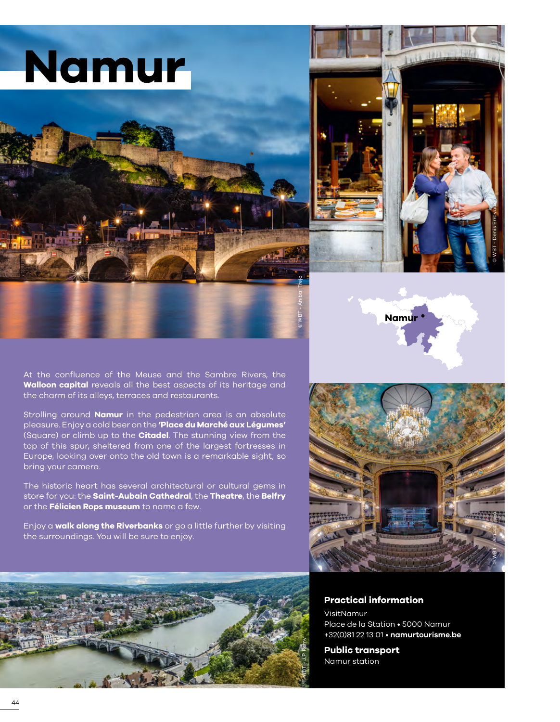# **Namur**





At the confluence of the Meuse and the Sambre Rivers, the **Walloon capital** reveals all the best aspects of its heritage and the charm of its alleys, terraces and restaurants.

Strolling around **Namur** in the pedestrian area is an absolute pleasure. Enjoy a cold beer on the **'Place du Marché aux Légumes'**  (Square) or climb up to the **Citadel**. The stunning view from the top of this spur, sheltered from one of the largest fortresses in Europe, looking over onto the old town is a remarkable sight, so bring your camera.

The historic heart has several architectural or cultural gems in store for you: the **Saint-Aubain Cathedral**, the **Theatre**, the **Belfry**  or the **Félicien Rops museum** to name a few.

Enjoy a **walk along the Riverbanks** or go a little further by visiting the surroundings. You will be sure to enjoy.



**Namur**



### **Practical information**

VisitNamur Place de la Station • 5000 Namur +32(0)81 22 13 01 • **[namurtourisme.be](https://www.namurtourisme.be/fr/)**

**Public transport** Namur station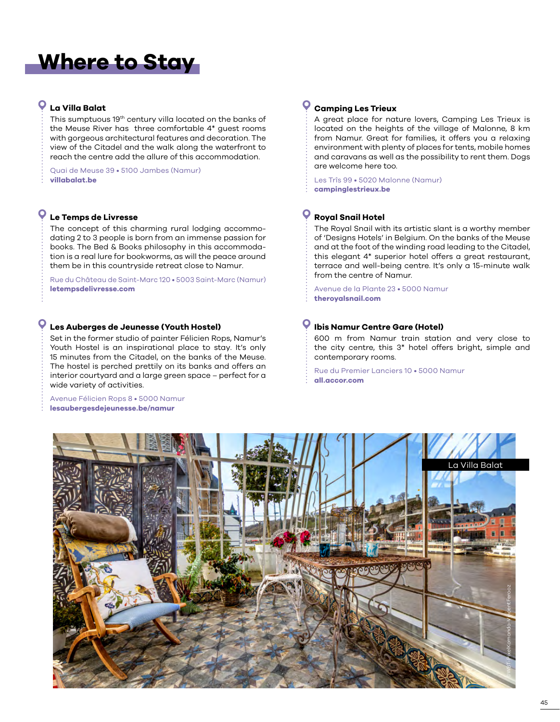# **Where to Stay**

# **La Villa Balat**

This sumptuous 19th century villa located on the banks of the Meuse River has three comfortable 4\* guest rooms with gorgeous architectural features and decoration. The view of the Citadel and the walk along the waterfront to reach the centre add the allure of this accommodation.

Quai de Meuse 39 • 5100 Jambes (Namur) **[villabalat.be](www.villabalat.be)**

# **Le Temps de Livresse**

The concept of this charming rural lodging accommodating 2 to 3 people is born from an immense passion for books. The Bed & Books philosophy in this accommodation is a real lure for bookworms, as will the peace around them be in this countryside retreat close to Namur.

Rue du Château de Saint-Marc 120 • 5003 Saint-Marc (Namur) **[letempsdelivresse.com](www.letempsdelivresse.com)**

### **Les Auberges de Jeunesse (Youth Hostel)**

Set in the former studio of painter Félicien Rops, Namur's Youth Hostel is an inspirational place to stay. It's only 15 minutes from the Citadel, on the banks of the Meuse. The hostel is perched prettily on its banks and offers an interior courtyard and a large green space – perfect for a wide variety of activities.

Avenue Félicien Rops 8 • 5000 Namur **[lesaubergesdejeunesse.be/namur](www.lesaubergesdejeunesse.be/namur)**

#### $\bullet$ **Camping Les Trieux**

A great place for nature lovers, Camping Les Trieux is located on the heights of the village of Malonne, 8 km from Namur. Great for families, it offers you a relaxing environment with plenty of places for tents, mobile homes and caravans as well as the possibility to rent them. Dogs are welcome here too.

Les Trîs 99 • 5020 Malonne (Namur) **[campinglestrieux.be](www.campinglestrieux.be/)**

## **Royal Snail Hotel**

The Royal Snail with its artistic slant is a worthy member of 'Designs Hotels' in Belgium. On the banks of the Meuse and at the foot of the winding road leading to the Citadel, this elegant 4\* superior hotel offers a great restaurant, terrace and well-being centre. It's only a 15-minute walk from the centre of Namur.

Avenue de la Plante 23 • 5000 Namur **[theroyalsnail.com](www.theroyalsnail.com)**

### **Ibis Namur Centre Gare (Hotel)**

600 m from Namur train station and very close to the city centre, this 3\* hotel offers bright, simple and contemporary rooms.

Rue du Premier Lanciers 10 • 5000 Namur **[all.accor.com](https://all.accor.com/hotel/3151/index.fr.shtml)**

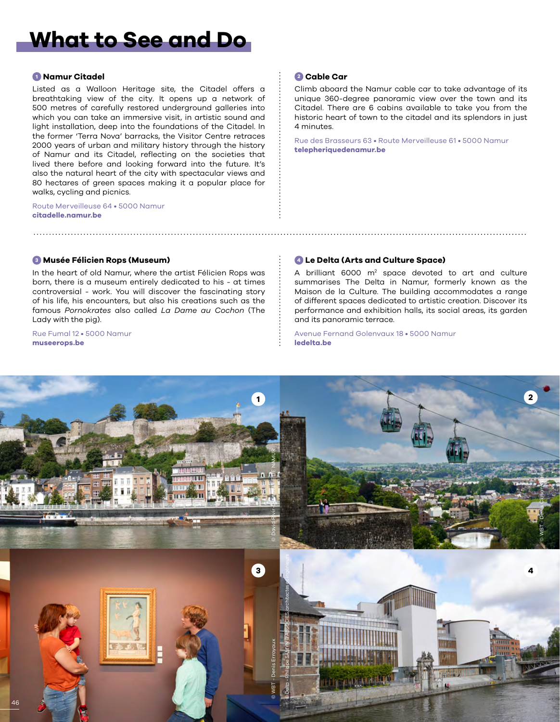# **What to See and Do**

### **<sup>1</sup> Namur Citadel**

Listed as a Walloon Heritage site, the Citadel offers a breathtaking view of the city. It opens up a network of 500 metres of carefully restored underground galleries into which you can take an immersive visit, in artistic sound and light installation, deep into the foundations of the Citadel. In the former 'Terra Nova' barracks, the Visitor Centre retraces 2000 years of urban and military history through the history of Namur and its Citadel, reflecting on the societies that lived there before and looking forward into the future. It's also the natural heart of the city with spectacular views and 80 hectares of green spaces making it a popular place for walks, cycling and picnics.

Route Merveilleuse 64 • 5000 Namur **[citadelle.namur.be](https://citadelle.namur.be/)**

### **<sup>2</sup> Cable Car**

Climb aboard the Namur cable car to take advantage of its unique 360-degree panoramic view over the town and its Citadel. There are 6 cabins available to take you from the historic heart of town to the citadel and its splendors in just 4 minutes.

Rue des Brasseurs 63 • Route Merveilleuse 61 • 5000 Namur **[telepheriquedenamur.be](https://www.telepheriquedenamur.be/)**

#### **<sup>3</sup> Musée Félicien Rops (Museum)**

In the heart of old Namur, where the artist Félicien Rops was born, there is a museum entirely dedicated to his - at times controversial - work. You will discover the fascinating story of his life, his encounters, but also his creations such as the famous *Pornokrates* also called *La Dame au Cochon* (The Lady with the pig).

Rue Fumal 12 • 5000 Namur **[museerops.be](https://www.museerops.be/)**

### **<sup>4</sup> Le Delta (Arts and Culture Space)**

A brilliant 6000 m<sup>2</sup> space devoted to art and culture summarises The Delta in Namur, formerly known as the Maison de la Culture. The building accommodates a range of different spaces dedicated to artistic creation. Discover its performance and exhibition halls, its social areas, its garden and its panoramic terrace.

Avenue Fernand Golenvaux 18 • 5000 Namur **[ledelta.be](https://www.ledelta.be/)**